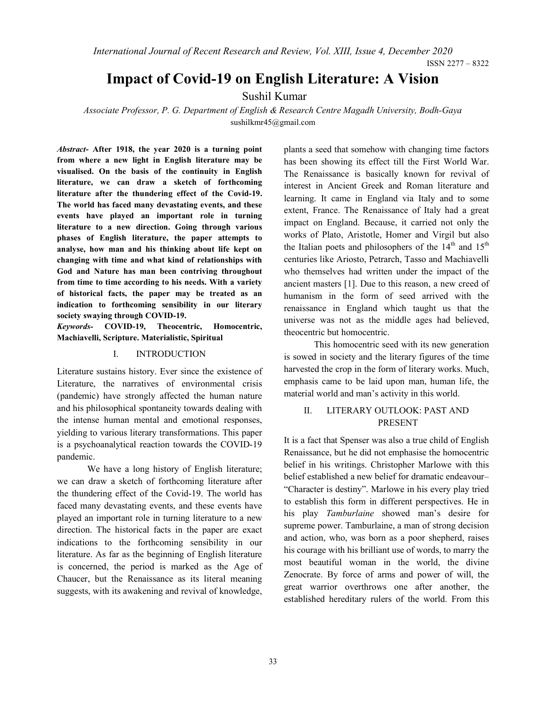International Journal of Recent Research and Review, Vol. XIII, Issue 4, December 2020

ISSN 2277 – 8322

# Impact of Covid-19 on English Literature: A Vision

Sushil Kumar

Associate Professor, P. G. Department of English & Research Centre Magadh University, Bodh-Gaya sushilkmr45@gmail.com

Abstract- After 1918, the year 2020 is a turning point from where a new light in English literature may be visualised. On the basis of the continuity in English literature, we can draw a sketch of forthcoming literature after the thundering effect of the Covid-19. The world has faced many devastating events, and these events have played an important role in turning literature to a new direction. Going through various phases of English literature, the paper attempts to analyse, how man and his thinking about life kept on changing with time and what kind of relationships with God and Nature has man been contriving throughout from time to time according to his needs. With a variety of historical facts, the paper may be treated as an indication to forthcoming sensibility in our literary society swaying through COVID-19.

Keywords- COVID-19, Theocentric, Homocentric, Machiavelli, Scripture. Materialistic, Spiritual

### I. INTRODUCTION

Literature sustains history. Ever since the existence of Literature, the narratives of environmental crisis (pandemic) have strongly affected the human nature and his philosophical spontaneity towards dealing with the intense human mental and emotional responses, yielding to various literary transformations. This paper is a psychoanalytical reaction towards the COVID-19 pandemic.

We have a long history of English literature; we can draw a sketch of forthcoming literature after the thundering effect of the Covid-19. The world has faced many devastating events, and these events have played an important role in turning literature to a new direction. The historical facts in the paper are exact indications to the forthcoming sensibility in our literature. As far as the beginning of English literature is concerned, the period is marked as the Age of Chaucer, but the Renaissance as its literal meaning suggests, with its awakening and revival of knowledge,

plants a seed that somehow with changing time factors has been showing its effect till the First World War. The Renaissance is basically known for revival of interest in Ancient Greek and Roman literature and learning. It came in England via Italy and to some extent, France. The Renaissance of Italy had a great impact on England. Because, it carried not only the works of Plato, Aristotle, Homer and Virgil but also the Italian poets and philosophers of the  $14<sup>th</sup>$  and  $15<sup>th</sup>$ centuries like Ariosto, Petrarch, Tasso and Machiavelli who themselves had written under the impact of the ancient masters [1]. Due to this reason, a new creed of humanism in the form of seed arrived with the renaissance in England which taught us that the universe was not as the middle ages had believed, theocentric but homocentric.

This homocentric seed with its new generation is sowed in society and the literary figures of the time harvested the crop in the form of literary works. Much, emphasis came to be laid upon man, human life, the material world and man's activity in this world.

#### II. LITERARY OUTLOOK: PAST AND PRESENT

It is a fact that Spenser was also a true child of English Renaissance, but he did not emphasise the homocentric belief in his writings. Christopher Marlowe with this belief established a new belief for dramatic endeavour– "Character is destiny". Marlowe in his every play tried to establish this form in different perspectives. He in his play Tamburlaine showed man's desire for supreme power. Tamburlaine, a man of strong decision and action, who, was born as a poor shepherd, raises his courage with his brilliant use of words, to marry the most beautiful woman in the world, the divine Zenocrate. By force of arms and power of will, the great warrior overthrows one after another, the established hereditary rulers of the world. From this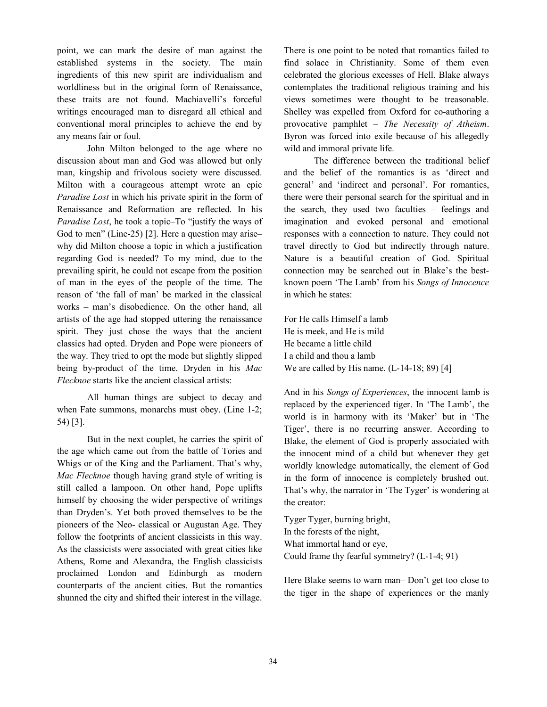point, we can mark the desire of man against the established systems in the society. The main ingredients of this new spirit are individualism and worldliness but in the original form of Renaissance, these traits are not found. Machiavelli's forceful writings encouraged man to disregard all ethical and conventional moral principles to achieve the end by any means fair or foul.

John Milton belonged to the age where no discussion about man and God was allowed but only man, kingship and frivolous society were discussed. Milton with a courageous attempt wrote an epic Paradise Lost in which his private spirit in the form of Renaissance and Reformation are reflected. In his Paradise Lost, he took a topic–To "justify the ways of God to men" (Line-25) [2]. Here a question may arise– why did Milton choose a topic in which a justification regarding God is needed? To my mind, due to the prevailing spirit, he could not escape from the position of man in the eyes of the people of the time. The reason of 'the fall of man' be marked in the classical works – man's disobedience. On the other hand, all artists of the age had stopped uttering the renaissance spirit. They just chose the ways that the ancient classics had opted. Dryden and Pope were pioneers of the way. They tried to opt the mode but slightly slipped being by-product of the time. Dryden in his Mac Flecknoe starts like the ancient classical artists:

All human things are subject to decay and when Fate summons, monarchs must obey. (Line 1-2; 54) [3].

But in the next couplet, he carries the spirit of the age which came out from the battle of Tories and Whigs or of the King and the Parliament. That's why, Mac Flecknoe though having grand style of writing is still called a lampoon. On other hand, Pope uplifts himself by choosing the wider perspective of writings than Dryden's. Yet both proved themselves to be the pioneers of the Neo- classical or Augustan Age. They follow the footprints of ancient classicists in this way. As the classicists were associated with great cities like Athens, Rome and Alexandra, the English classicists proclaimed London and Edinburgh as modern counterparts of the ancient cities. But the romantics shunned the city and shifted their interest in the village.

There is one point to be noted that romantics failed to find solace in Christianity. Some of them even celebrated the glorious excesses of Hell. Blake always contemplates the traditional religious training and his views sometimes were thought to be treasonable. Shelley was expelled from Oxford for co-authoring a provocative pamphlet – The Necessity of Atheism. Byron was forced into exile because of his allegedly wild and immoral private life.

The difference between the traditional belief and the belief of the romantics is as 'direct and general' and 'indirect and personal'. For romantics, there were their personal search for the spiritual and in the search, they used two faculties – feelings and imagination and evoked personal and emotional responses with a connection to nature. They could not travel directly to God but indirectly through nature. Nature is a beautiful creation of God. Spiritual connection may be searched out in Blake's the bestknown poem 'The Lamb' from his Songs of Innocence in which he states:

For He calls Himself a lamb He is meek, and He is mild He became a little child I a child and thou a lamb We are called by His name. (L-14-18; 89) [4]

And in his Songs of Experiences, the innocent lamb is replaced by the experienced tiger. In 'The Lamb', the world is in harmony with its 'Maker' but in 'The Tiger', there is no recurring answer. According to Blake, the element of God is properly associated with the innocent mind of a child but whenever they get worldly knowledge automatically, the element of God in the form of innocence is completely brushed out. That's why, the narrator in 'The Tyger' is wondering at the creator:

Tyger Tyger, burning bright, In the forests of the night, What immortal hand or eye, Could frame thy fearful symmetry? (L-1-4; 91)

Here Blake seems to warn man– Don't get too close to the tiger in the shape of experiences or the manly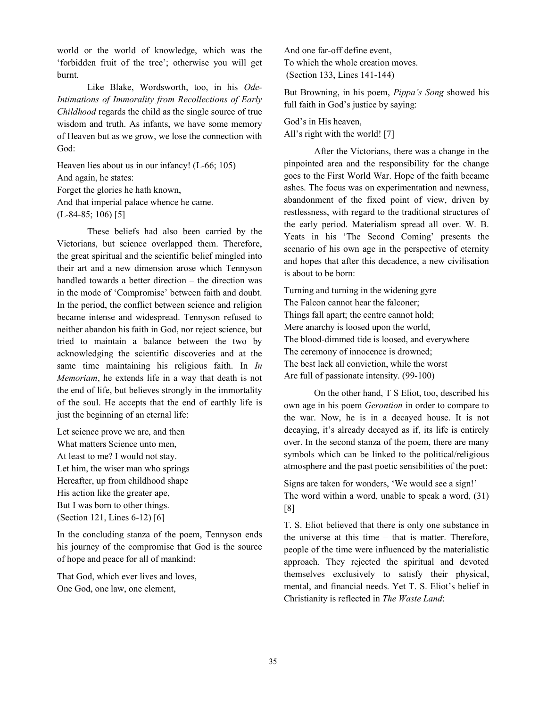world or the world of knowledge, which was the 'forbidden fruit of the tree'; otherwise you will get burnt.

Like Blake, Wordsworth, too, in his Ode-Intimations of Immorality from Recollections of Early Childhood regards the child as the single source of true wisdom and truth. As infants, we have some memory of Heaven but as we grow, we lose the connection with God:

Heaven lies about us in our infancy! (L-66; 105) And again, he states: Forget the glories he hath known, And that imperial palace whence he came. (L-84-85; 106) [5]

These beliefs had also been carried by the Victorians, but science overlapped them. Therefore, the great spiritual and the scientific belief mingled into their art and a new dimension arose which Tennyson handled towards a better direction – the direction was in the mode of 'Compromise' between faith and doubt. In the period, the conflict between science and religion became intense and widespread. Tennyson refused to neither abandon his faith in God, nor reject science, but tried to maintain a balance between the two by acknowledging the scientific discoveries and at the same time maintaining his religious faith. In In Memoriam, he extends life in a way that death is not the end of life, but believes strongly in the immortality of the soul. He accepts that the end of earthly life is just the beginning of an eternal life:

Let science prove we are, and then What matters Science unto men, At least to me? I would not stay. Let him, the wiser man who springs Hereafter, up from childhood shape His action like the greater ape, But I was born to other things. (Section 121, Lines 6-12) [6]

In the concluding stanza of the poem, Tennyson ends his journey of the compromise that God is the source of hope and peace for all of mankind:

That God, which ever lives and loves, One God, one law, one element,

And one far-off define event, To which the whole creation moves. (Section 133, Lines 141-144)

But Browning, in his poem, Pippa's Song showed his full faith in God's justice by saying:

God's in His heaven, All's right with the world! [7]

After the Victorians, there was a change in the pinpointed area and the responsibility for the change goes to the First World War. Hope of the faith became ashes. The focus was on experimentation and newness, abandonment of the fixed point of view, driven by restlessness, with regard to the traditional structures of the early period. Materialism spread all over. W. B. Yeats in his 'The Second Coming' presents the scenario of his own age in the perspective of eternity and hopes that after this decadence, a new civilisation is about to be born:

Turning and turning in the widening gyre The Falcon cannot hear the falconer; Things fall apart; the centre cannot hold; Mere anarchy is loosed upon the world, The blood-dimmed tide is loosed, and everywhere The ceremony of innocence is drowned; The best lack all conviction, while the worst Are full of passionate intensity. (99-100)

On the other hand, T S Eliot, too, described his own age in his poem Gerontion in order to compare to the war. Now, he is in a decayed house. It is not decaying, it's already decayed as if, its life is entirely over. In the second stanza of the poem, there are many symbols which can be linked to the political/religious atmosphere and the past poetic sensibilities of the poet:

Signs are taken for wonders, 'We would see a sign!' The word within a word, unable to speak a word, (31) [8]

T. S. Eliot believed that there is only one substance in the universe at this time – that is matter. Therefore, people of the time were influenced by the materialistic approach. They rejected the spiritual and devoted themselves exclusively to satisfy their physical, mental, and financial needs. Yet T. S. Eliot's belief in Christianity is reflected in The Waste Land: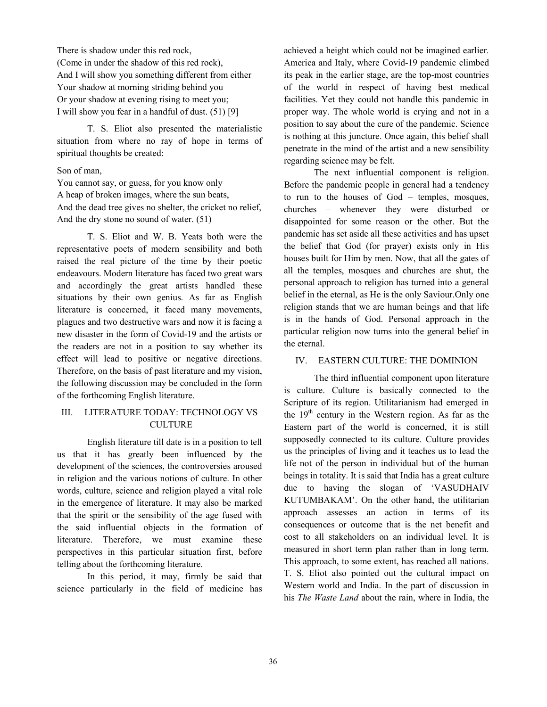There is shadow under this red rock, (Come in under the shadow of this red rock), And I will show you something different from either Your shadow at morning striding behind you Or your shadow at evening rising to meet you; I will show you fear in a handful of dust. (51) [9]

T. S. Eliot also presented the materialistic situation from where no ray of hope in terms of spiritual thoughts be created:

#### Son of man,

You cannot say, or guess, for you know only A heap of broken images, where the sun beats, And the dead tree gives no shelter, the cricket no relief, And the dry stone no sound of water. (51)

T. S. Eliot and W. B. Yeats both were the representative poets of modern sensibility and both raised the real picture of the time by their poetic endeavours. Modern literature has faced two great wars and accordingly the great artists handled these situations by their own genius. As far as English literature is concerned, it faced many movements, plagues and two destructive wars and now it is facing a new disaster in the form of Covid-19 and the artists or the readers are not in a position to say whether its effect will lead to positive or negative directions. Therefore, on the basis of past literature and my vision, the following discussion may be concluded in the form of the forthcoming English literature.

## III. LITERATURE TODAY: TECHNOLOGY VS **CULTURE**

English literature till date is in a position to tell us that it has greatly been influenced by the development of the sciences, the controversies aroused in religion and the various notions of culture. In other words, culture, science and religion played a vital role in the emergence of literature. It may also be marked that the spirit or the sensibility of the age fused with the said influential objects in the formation of literature. Therefore, we must examine these perspectives in this particular situation first, before telling about the forthcoming literature.

In this period, it may, firmly be said that science particularly in the field of medicine has

achieved a height which could not be imagined earlier. America and Italy, where Covid-19 pandemic climbed its peak in the earlier stage, are the top-most countries of the world in respect of having best medical facilities. Yet they could not handle this pandemic in proper way. The whole world is crying and not in a position to say about the cure of the pandemic. Science is nothing at this juncture. Once again, this belief shall penetrate in the mind of the artist and a new sensibility regarding science may be felt.

The next influential component is religion. Before the pandemic people in general had a tendency to run to the houses of God – temples, mosques, churches – whenever they were disturbed or disappointed for some reason or the other. But the pandemic has set aside all these activities and has upset the belief that God (for prayer) exists only in His houses built for Him by men. Now, that all the gates of all the temples, mosques and churches are shut, the personal approach to religion has turned into a general belief in the eternal, as He is the only Saviour.Only one religion stands that we are human beings and that life is in the hands of God. Personal approach in the particular religion now turns into the general belief in the eternal.

#### IV. EASTERN CULTURE: THE DOMINION

The third influential component upon literature is culture. Culture is basically connected to the Scripture of its region. Utilitarianism had emerged in the  $19<sup>th</sup>$  century in the Western region. As far as the Eastern part of the world is concerned, it is still supposedly connected to its culture. Culture provides us the principles of living and it teaches us to lead the life not of the person in individual but of the human beings in totality. It is said that India has a great culture due to having the slogan of 'VASUDHAIV KUTUMBAKAM'. On the other hand, the utilitarian approach assesses an action in terms of its consequences or outcome that is the net benefit and cost to all stakeholders on an individual level. It is measured in short term plan rather than in long term. This approach, to some extent, has reached all nations. T. S. Eliot also pointed out the cultural impact on Western world and India. In the part of discussion in his The Waste Land about the rain, where in India, the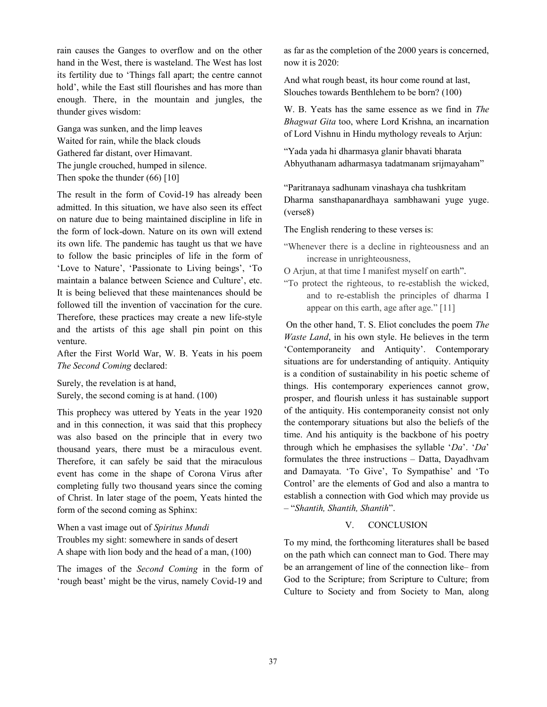rain causes the Ganges to overflow and on the other hand in the West, there is wasteland. The West has lost its fertility due to 'Things fall apart; the centre cannot hold', while the East still flourishes and has more than enough. There, in the mountain and jungles, the thunder gives wisdom:

Ganga was sunken, and the limp leaves Waited for rain, while the black clouds Gathered far distant, over Himavant. The jungle crouched, humped in silence. Then spoke the thunder (66) [10]

The result in the form of Covid-19 has already been admitted. In this situation, we have also seen its effect on nature due to being maintained discipline in life in the form of lock-down. Nature on its own will extend its own life. The pandemic has taught us that we have to follow the basic principles of life in the form of 'Love to Nature', 'Passionate to Living beings', 'To maintain a balance between Science and Culture', etc. It is being believed that these maintenances should be followed till the invention of vaccination for the cure. Therefore, these practices may create a new life-style and the artists of this age shall pin point on this venture.

After the First World War, W. B. Yeats in his poem The Second Coming declared:

Surely, the revelation is at hand, Surely, the second coming is at hand. (100)

This prophecy was uttered by Yeats in the year 1920 and in this connection, it was said that this prophecy was also based on the principle that in every two thousand years, there must be a miraculous event. Therefore, it can safely be said that the miraculous event has come in the shape of Corona Virus after completing fully two thousand years since the coming of Christ. In later stage of the poem, Yeats hinted the form of the second coming as Sphinx:

When a vast image out of Spiritus Mundi Troubles my sight: somewhere in sands of desert A shape with lion body and the head of a man, (100)

The images of the Second Coming in the form of 'rough beast' might be the virus, namely Covid-19 and

as far as the completion of the 2000 years is concerned, now it is 2020:

And what rough beast, its hour come round at last, Slouches towards Benthlehem to be born? (100)

W. B. Yeats has the same essence as we find in The Bhagwat Gita too, where Lord Krishna, an incarnation of Lord Vishnu in Hindu mythology reveals to Arjun:

"Yada yada hi dharmasya glanir bhavati bharata Abhyuthanam adharmasya tadatmanam srijmayaham"

"Paritranaya sadhunam vinashaya cha tushkritam Dharma sansthapanardhaya sambhawani yuge yuge. (verse8)

The English rendering to these verses is:

"Whenever there is a decline in righteousness and an increase in unrighteousness,

O Arjun, at that time I manifest myself on earth".

"To protect the righteous, to re-establish the wicked, and to re-establish the principles of dharma I appear on this earth, age after age." [11]

 On the other hand, T. S. Eliot concludes the poem The Waste Land, in his own style. He believes in the term 'Contemporaneity and Antiquity'. Contemporary situations are for understanding of antiquity. Antiquity is a condition of sustainability in his poetic scheme of things. His contemporary experiences cannot grow, prosper, and flourish unless it has sustainable support of the antiquity. His contemporaneity consist not only the contemporary situations but also the beliefs of the time. And his antiquity is the backbone of his poetry through which he emphasises the syllable ' $Da$ '. ' $Da$ ' formulates the three instructions – Datta, Dayadhvam and Damayata. 'To Give', To Sympathise' and 'To Control' are the elements of God and also a mantra to establish a connection with God which may provide us – "Shantih, Shantih, Shantih".

## V. CONCLUSION

To my mind, the forthcoming literatures shall be based on the path which can connect man to God. There may be an arrangement of line of the connection like– from God to the Scripture; from Scripture to Culture; from Culture to Society and from Society to Man, along